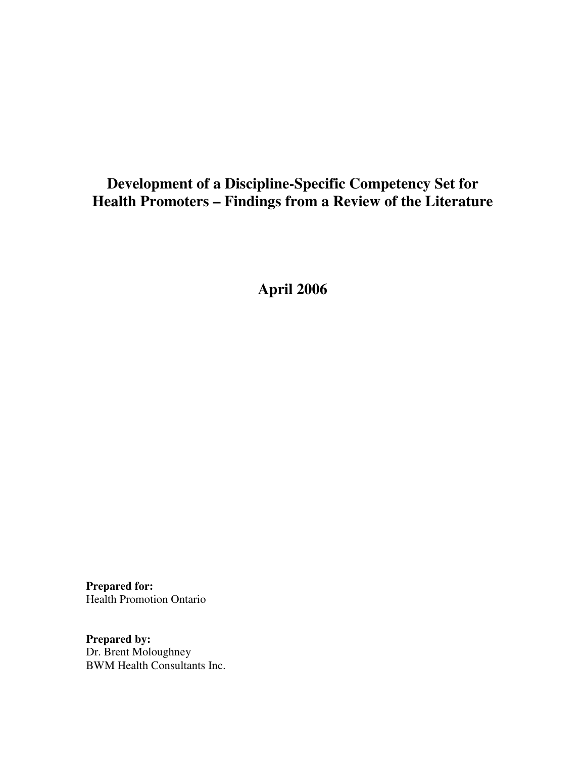# **Development of a Discipline-Specific Competency Set for Health Promoters – Findings from a Review of the Literature**

**April 2006**

**Prepared for:** Health Promotion Ontario

**Prepared by:** Dr. Brent Moloughney BWM Health Consultants Inc.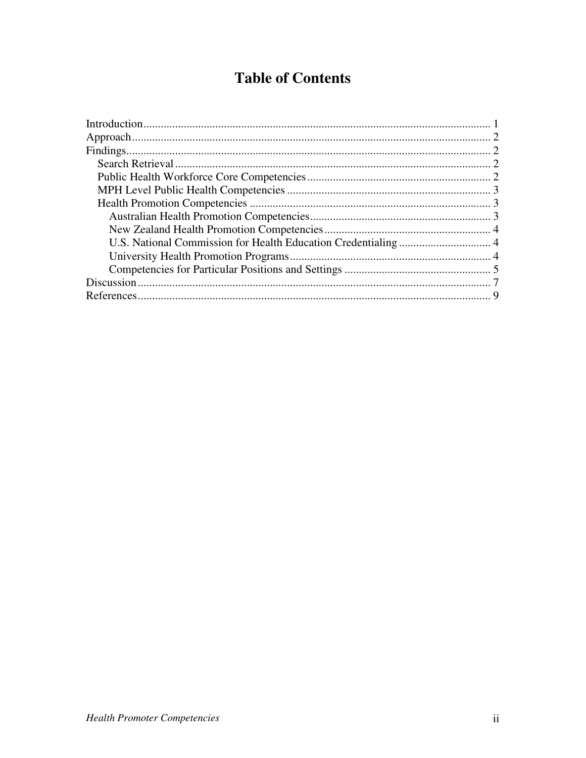# **Table of Contents**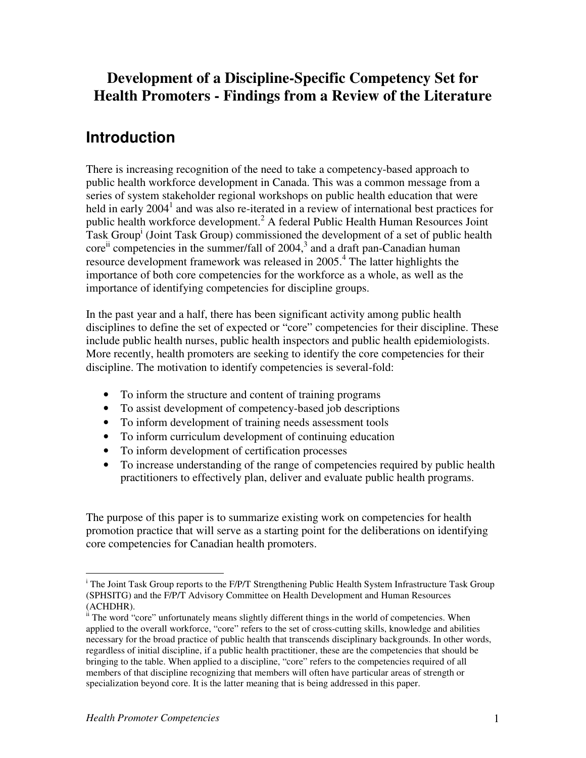## **Development of a Discipline-Specific Competency Set for Health Promoters - Findings from a Review of the Literature**

# **Introduction**

There is increasing recognition of the need to take a competency-based approach to public health workforce development in Canada. This was a common message from a series of system stakeholder regional workshops on public health education that were held in early 2004<sup>1</sup> and was also re-iterated in a review of international best practices for public health workforce development. <sup>2</sup> A federal Public Health Human Resources Joint Task Group<sup>i</sup> (Joint Task Group) commissioned the development of a set of public health core<sup>ii</sup> competencies in the summer/fall of 2004,<sup>3</sup> and a draft pan-Canadian human resource development framework was released in 2005.<sup>4</sup> The latter highlights the importance of both core competencies for the workforce as a whole, as well as the importance of identifying competencies for discipline groups.

In the past year and a half, there has been significant activity among public health disciplines to define the set of expected or "core" competencies for their discipline. These include public health nurses, public health inspectors and public health epidemiologists. More recently, health promoters are seeking to identify the core competencies for their discipline. The motivation to identify competencies is several-fold:

- To inform the structure and content of training programs
- To assist development of competency-based job descriptions
- To inform development of training needs assessment tools
- To inform curriculum development of continuing education
- To inform development of certification processes
- To increase understanding of the range of competencies required by public health practitioners to effectively plan, deliver and evaluate public health programs.

The purpose of this paper is to summarize existing work on competencies for health promotion practice that will serve as a starting point for the deliberations on identifying core competencies for Canadian health promoters.

<sup>&</sup>lt;sup>i</sup> The Joint Task Group reports to the F/P/T Strengthening Public Health System Infrastructure Task Group (SPHSITG) and the F/P/T Advisory Committee on Health Development and Human Resources (ACHDHR).

<sup>&</sup>lt;sup>ii</sup> The word "core" unfortunately means slightly different things in the world of competencies. When applied to the overall workforce, "core" refers to the set of cross-cutting skills, knowledge and abilities necessary for the broad practice of public health that transcends disciplinary backgrounds. In other words, regardless of initial discipline, if a public health practitioner, these are the competencies that should be bringing to the table. When applied to a discipline, "core" refers to the competencies required of all members of that discipline recognizing that members will often have particular areas of strength or specialization beyond core. It is the latter meaning that is being addressed in this paper.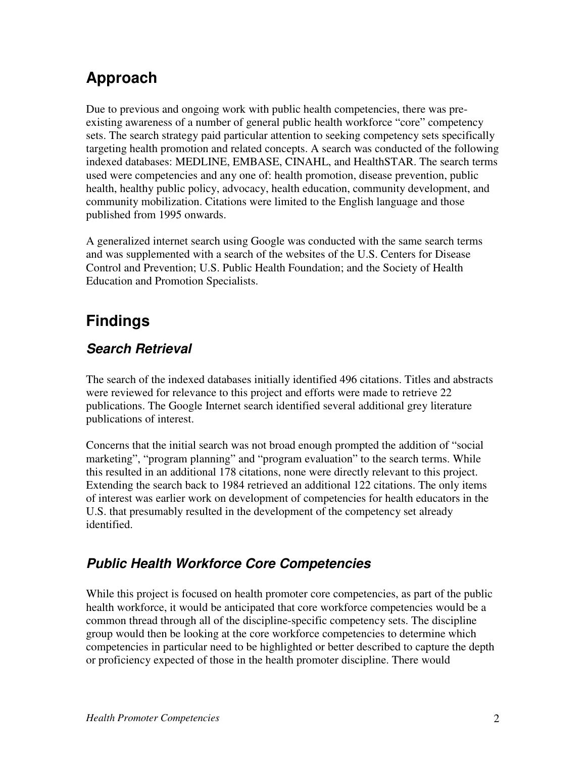# **Approach**

Due to previous and ongoing work with public health competencies, there was preexisting awareness of a number of general public health workforce "core" competency sets. The search strategy paid particular attention to seeking competency sets specifically targeting health promotion and related concepts. A search was conducted of the following indexed databases: MEDLINE, EMBASE, CINAHL, and HealthSTAR. The search terms used were competencies and any one of: health promotion, disease prevention, public health, healthy public policy, advocacy, health education, community development, and community mobilization. Citations were limited to the English language and those published from 1995 onwards.

A generalized internet search using Google was conducted with the same search terms and was supplemented with a search of the websites of the U.S. Centers for Disease Control and Prevention; U.S. Public Health Foundation; and the Society of Health Education and Promotion Specialists.

# **Findings**

## *Search Retrieval*

The search of the indexed databases initially identified 496 citations. Titles and abstracts were reviewed for relevance to this project and efforts were made to retrieve 22 publications. The Google Internet search identified several additional grey literature publications of interest.

Concerns that the initial search was not broad enough prompted the addition of "social marketing", "program planning" and "program evaluation" to the search terms. While this resulted in an additional 178 citations, none were directly relevant to this project. Extending the search back to 1984 retrieved an additional 122 citations. The only items of interest was earlier work on development of competencies for health educators in the U.S. that presumably resulted in the development of the competency set already identified.

## *Public Health Workforce Core Competencies*

While this project is focused on health promoter core competencies, as part of the public health workforce, it would be anticipated that core workforce competencies would be a common thread through all of the discipline-specific competency sets. The discipline group would then be looking at the core workforce competencies to determine which competencies in particular need to be highlighted or better described to capture the depth or proficiency expected of those in the health promoter discipline. There would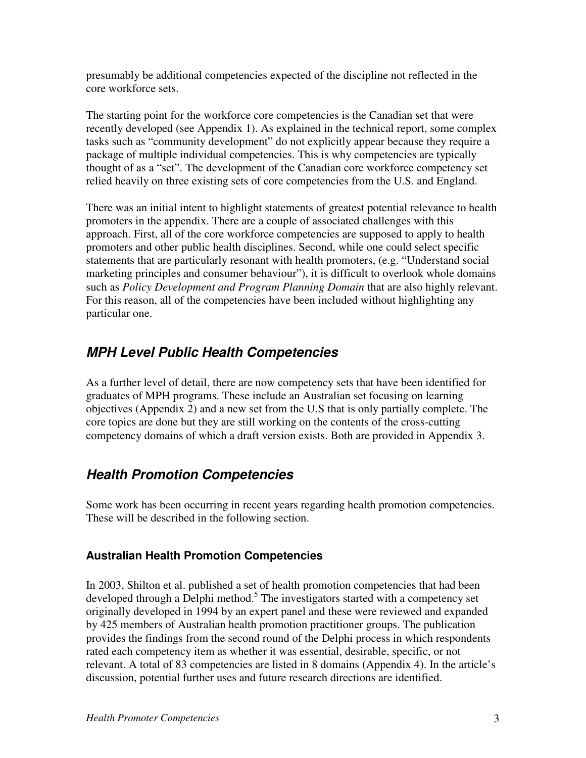presumably be additional competencies expected of the discipline not reflected in the core workforce sets.

The starting point for the workforce core competencies is the Canadian set that were recently developed (see Appendix 1). As explained in the technical report, some complex tasks such as "community development" do not explicitly appear because they require a package of multiple individual competencies. This is why competencies are typically thought of as a "set". The development of the Canadian core workforce competency set relied heavily on three existing sets of core competencies from the U.S. and England.

There was an initial intent to highlight statements of greatest potential relevance to health promoters in the appendix. There are a couple of associated challenges with this approach. First, all of the core workforce competencies are supposed to apply to health promoters and other public health disciplines. Second, while one could select specific statements that are particularly resonant with health promoters, (e.g. "Understand social marketing principles and consumer behaviour"), it is difficult to overlook whole domains such as *Policy Development and Program Planning Domain* that are also highly relevant. For this reason, all of the competencies have been included without highlighting any particular one.

## *MPH Level Public Health Competencies*

As a further level of detail, there are now competency sets that have been identified for graduates of MPH programs. These include an Australian set focusing on learning objectives (Appendix 2) and a new set from the U.S that is only partially complete. The core topics are done but they are still working on the contents of the cross-cutting competency domains of which a draft version exists. Both are provided in Appendix 3.

## *Health Promotion Competencies*

Some work has been occurring in recent years regarding health promotion competencies. These will be described in the following section.

### **Australian Health Promotion Competencies**

In 2003, Shilton et al. published a set of health promotion competencies that had been developed through a Delphi method.<sup>5</sup> The investigators started with a competency set originally developed in 1994 by an expert panel and these were reviewed and expanded by 425 members of Australian health promotion practitioner groups. The publication provides the findings from the second round of the Delphi process in which respondents rated each competency item as whether it was essential, desirable, specific, or not relevant. A total of 83 competencies are listed in 8 domains (Appendix 4). In the article's discussion, potential further uses and future research directions are identified.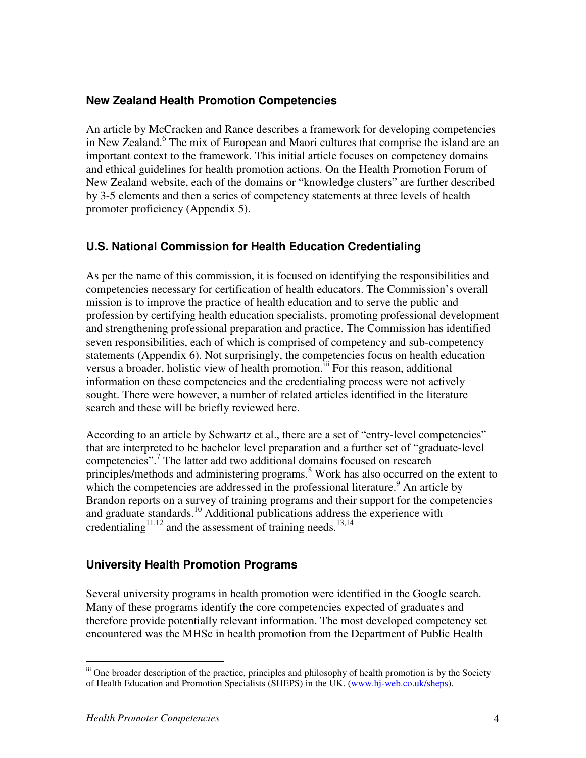### **New Zealand Health Promotion Competencies**

An article by McCracken and Rance describes a framework for developing competencies in New Zealand. 6 The mix of European and Maori cultures that comprise the island are an important context to the framework. This initial article focuses on competency domains and ethical guidelines for health promotion actions. On the Health Promotion Forum of New Zealand website, each of the domains or "knowledge clusters" are further described by 3-5 elements and then a series of competency statements at three levels of health promoter proficiency (Appendix 5).

### **U.S. National Commission for Health Education Credentialing**

As per the name of this commission, it is focused on identifying the responsibilities and competencies necessary for certification of health educators. The Commission's overall mission is to improve the practice of health education and to serve the public and profession by certifying health education specialists, promoting professional development and strengthening professional preparation and practice. The Commission has identified seven responsibilities, each of which is comprised of competency and sub-competency statements (Appendix 6). Not surprisingly, the competencies focus on health education versus a broader, holistic view of health promotion.<sup>iii</sup> For this reason, additional information on these competencies and the credentialing process were not actively sought. There were however, a number of related articles identified in the literature search and these will be briefly reviewed here.

According to an article by Schwartz et al., there are a set of "entry-level competencies" that are interpreted to be bachelor level preparation and a further set of "graduate-level competencies". 7 The latter add two additional domains focused on research principles/methods and administering programs. Work has also occurred on the extent to which the competencies are addressed in the professional literature.<sup>9</sup> An article by Brandon reports on a survey of training programs and their support for the competencies and graduate standards. <sup>10</sup> Additional publications address the experience with credentialing<sup>11,12</sup> and the assessment of training needs.<sup>13,14</sup>

### **University Health Promotion Programs**

Several university programs in health promotion were identified in the Google search. Many of these programs identify the core competencies expected of graduates and therefore provide potentially relevant information. The most developed competency set encountered was the MHSc in health promotion from the Department of Public Health

iii One broader description of the practice, principles and philosophy of health promotion is by the Society of Health Education and Promotion Specialists (SHEPS) in the UK. (www.hj-web.co.uk/sheps).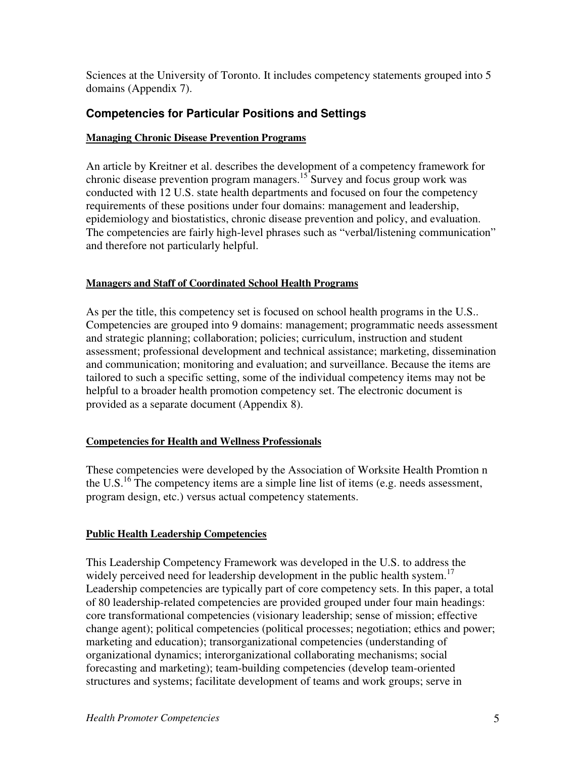Sciences at the University of Toronto. It includes competency statements grouped into 5 domains (Appendix 7).

### **Competencies for Particular Positions and Settings**

#### **Managing Chronic Disease Prevention Programs**

An article by Kreitner et al. describes the development of a competency framework for chronic disease prevention program managers.<sup>15</sup> Survey and focus group work was conducted with 12 U.S. state health departments and focused on four the competency requirements of these positions under four domains: management and leadership, epidemiology and biostatistics, chronic disease prevention and policy, and evaluation. The competencies are fairly high-level phrases such as "verbal/listening communication" and therefore not particularly helpful.

#### **Managers and Staff of Coordinated School Health Programs**

As per the title, this competency set is focused on school health programs in the U.S.. Competencies are grouped into 9 domains: management; programmatic needs assessment and strategic planning; collaboration; policies; curriculum, instruction and student assessment; professional development and technical assistance; marketing, dissemination and communication; monitoring and evaluation; and surveillance. Because the items are tailored to such a specific setting, some of the individual competency items may not be helpful to a broader health promotion competency set. The electronic document is provided as a separate document (Appendix 8).

#### **Competencies for Health and Wellness Professionals**

These competencies were developed by the Association of Worksite Health Promtion n the U.S.<sup>16</sup> The competency items are a simple line list of items (e.g. needs assessment, program design, etc.) versus actual competency statements.

### **Public Health Leadership Competencies**

This Leadership Competency Framework was developed in the U.S. to address the widely perceived need for leadership development in the public health system.<sup>17</sup> Leadership competencies are typically part of core competency sets. In this paper, a total of 80 leadership-related competencies are provided grouped under four main headings: core transformational competencies (visionary leadership; sense of mission; effective change agent); political competencies (political processes; negotiation; ethics and power; marketing and education); transorganizational competencies (understanding of organizational dynamics; interorganizational collaborating mechanisms; social forecasting and marketing); team-building competencies (develop team-oriented structures and systems; facilitate development of teams and work groups; serve in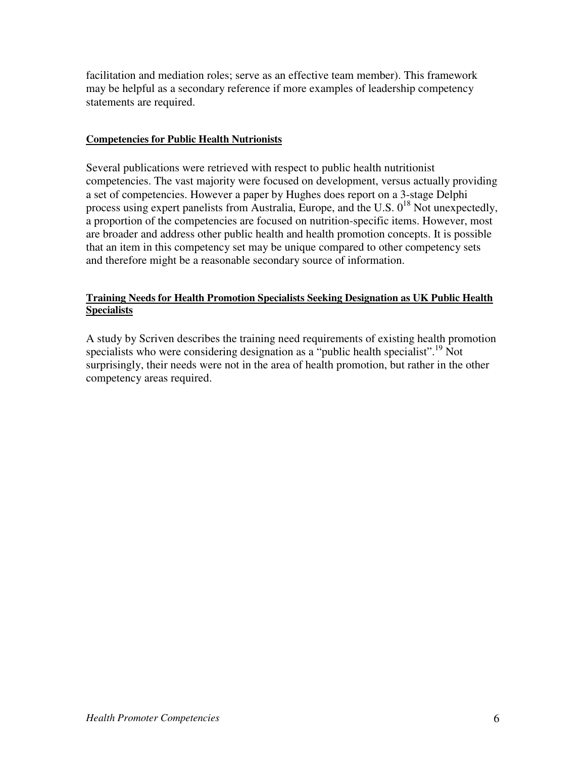facilitation and mediation roles; serve as an effective team member). This framework may be helpful as a secondary reference if more examples of leadership competency statements are required.

#### **Competencies for Public Health Nutrionists**

Several publications were retrieved with respect to public health nutritionist competencies. The vast majority were focused on development, versus actually providing a set of competencies. However a paper by Hughes does report on a 3-stage Delphi process using expert panelists from Australia, Europe, and the U.S.  $0^{18}$  Not unexpectedly, a proportion of the competencies are focused on nutrition-specific items. However, most are broader and address other public health and health promotion concepts. It is possible that an item in this competency set may be unique compared to other competency sets and therefore might be a reasonable secondary source of information.

#### **Training Needs for Health Promotion Specialists Seeking Designation as UK Public Health Specialists**

A study by Scriven describes the training need requirements of existing health promotion specialists who were considering designation as a "public health specialist".<sup>19</sup> Not surprisingly, their needs were not in the area of health promotion, but rather in the other competency areas required.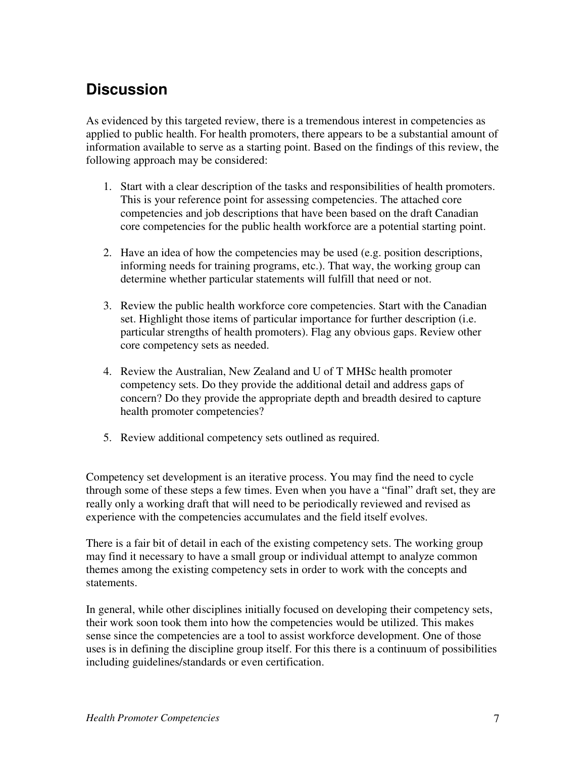# **Discussion**

As evidenced by this targeted review, there is a tremendous interest in competencies as applied to public health. For health promoters, there appears to be a substantial amount of information available to serve as a starting point. Based on the findings of this review, the following approach may be considered:

- 1. Start with a clear description of the tasks and responsibilities of health promoters. This is your reference point for assessing competencies. The attached core competencies and job descriptions that have been based on the draft Canadian core competencies for the public health workforce are a potential starting point.
- 2. Have an idea of how the competencies may be used (e.g. position descriptions, informing needs for training programs, etc.). That way, the working group can determine whether particular statements will fulfill that need or not.
- 3. Review the public health workforce core competencies. Start with the Canadian set. Highlight those items of particular importance for further description (i.e. particular strengths of health promoters). Flag any obvious gaps. Review other core competency sets as needed.
- 4. Review the Australian, New Zealand and U of T MHSc health promoter competency sets. Do they provide the additional detail and address gaps of concern? Do they provide the appropriate depth and breadth desired to capture health promoter competencies?
- 5. Review additional competency sets outlined as required.

Competency set development is an iterative process. You may find the need to cycle through some of these steps a few times. Even when you have a "final" draft set, they are really only a working draft that will need to be periodically reviewed and revised as experience with the competencies accumulates and the field itself evolves.

There is a fair bit of detail in each of the existing competency sets. The working group may find it necessary to have a small group or individual attempt to analyze common themes among the existing competency sets in order to work with the concepts and statements.

In general, while other disciplines initially focused on developing their competency sets, their work soon took them into how the competencies would be utilized. This makes sense since the competencies are a tool to assist workforce development. One of those uses is in defining the discipline group itself. For this there is a continuum of possibilities including guidelines/standards or even certification.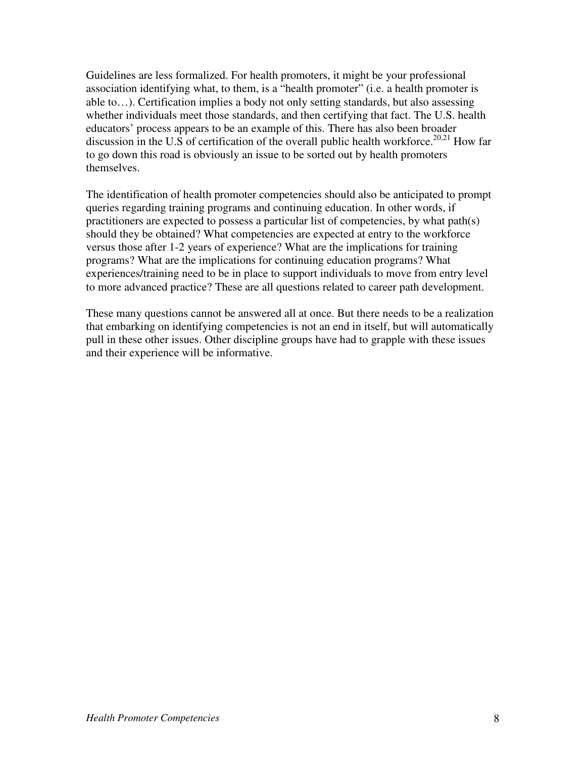Guidelines are less formalized. For health promoters, it might be your professional association identifying what, to them, is a "health promoter" (i.e. a health promoter is able to…). Certification implies a body not only setting standards, but also assessing whether individuals meet those standards, and then certifying that fact. The U.S. health educators' process appears to be an example of this. There has also been broader discussion in the U.S of certification of the overall public health workforce.<sup>20,21</sup> How far to go down this road is obviously an issue to be sorted out by health promoters themselves.

The identification of health promoter competencies should also be anticipated to prompt queries regarding training programs and continuing education. In other words, if practitioners are expected to possess a particular list of competencies, by what path(s) should they be obtained? What competencies are expected at entry to the workforce versus those after 1-2 years of experience? What are the implications for training programs? What are the implications for continuing education programs? What experiences/training need to be in place to support individuals to move from entry level to more advanced practice? These are all questions related to career path development.

These many questions cannot be answered all at once. But there needs to be a realization that embarking on identifying competencies is not an end in itself, but will automatically pull in these other issues. Other discipline groups have had to grapple with these issues and their experience will be informative.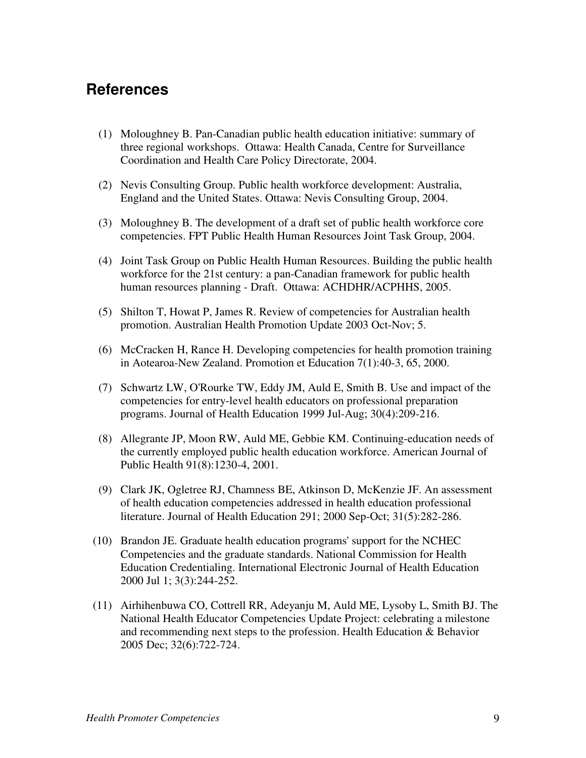## **References**

- (1) Moloughney B. Pan-Canadian public health education initiative: summary of three regional workshops. Ottawa: Health Canada, Centre for Surveillance Coordination and Health Care Policy Directorate, 2004.
- (2) Nevis Consulting Group. Public health workforce development: Australia, England and the United States. Ottawa: Nevis Consulting Group, 2004.
- (3) Moloughney B. The development of a draft set of public health workforce core competencies. FPT Public Health Human Resources Joint Task Group, 2004.
- (4) Joint Task Group on Public Health Human Resources. Building the public health workforce for the 21st century: a pan-Canadian framework for public health human resources planning - Draft. Ottawa: ACHDHR/ACPHHS, 2005.
- (5) Shilton T, Howat P, James R. Review of competencies for Australian health promotion. Australian Health Promotion Update 2003 Oct-Nov; 5.
- (6) McCracken H, Rance H. Developing competencies for health promotion training in Aotearoa-New Zealand. Promotion et Education 7(1):40-3, 65, 2000.
- (7) Schwartz LW, O'Rourke TW, Eddy JM, Auld E, Smith B. Use and impact of the competencies for entry-level health educators on professional preparation programs. Journal of Health Education 1999 Jul-Aug; 30(4):209-216.
- (8) Allegrante JP, Moon RW, Auld ME, Gebbie KM. Continuing-education needs of the currently employed public health education workforce. American Journal of Public Health 91(8):1230-4, 2001.
- (9) Clark JK, Ogletree RJ, Chamness BE, Atkinson D, McKenzie JF. An assessment of health education competencies addressed in health education professional literature. Journal of Health Education 291; 2000 Sep-Oct; 31(5):282-286.
- (10) Brandon JE. Graduate health education programs'support for the NCHEC Competencies and the graduate standards. National Commission for Health Education Credentialing. International Electronic Journal of Health Education 2000 Jul 1; 3(3):244-252.
- (11) Airhihenbuwa CO, Cottrell RR, Adeyanju M, Auld ME, Lysoby L, Smith BJ. The National Health Educator Competencies Update Project: celebrating a milestone and recommending next steps to the profession. Health Education & Behavior 2005 Dec; 32(6):722-724.